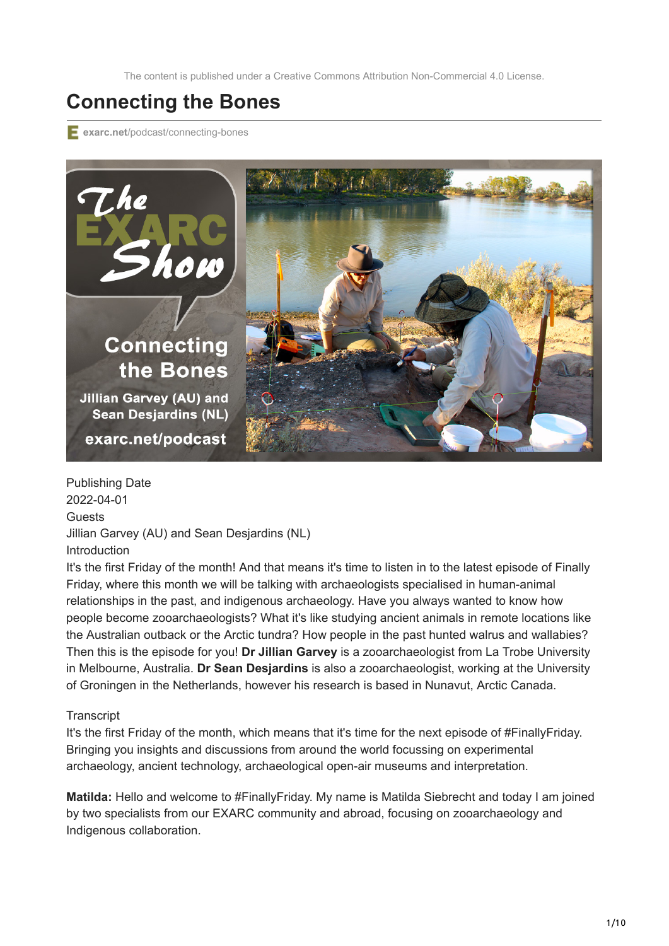The content is published under a Creative Commons Attribution Non-Commercial 4.0 License.

## **Connecting the Bones**

**exarc.net**[/podcast/connecting-bones](https://exarc.net/podcast/connecting-bones)



Publishing Date 2022-04-01 **Guests** Jillian Garvey (AU) and Sean Desjardins (NL) Introduction

It's the first Friday of the month! And that means it's time to listen in to the latest episode of Finally Friday, where this month we will be talking with archaeologists specialised in human-animal relationships in the past, and indigenous archaeology. Have you always wanted to know how people become zooarchaeologists? What it's like studying ancient animals in remote locations like the Australian outback or the Arctic tundra? How people in the past hunted walrus and wallabies? Then this is the episode for you! **Dr Jillian Garvey** is a zooarchaeologist from La Trobe University in Melbourne, Australia. **Dr Sean Desjardins** is also a zooarchaeologist, working at the University of Groningen in the Netherlands, however his research is based in Nunavut, Arctic Canada.

## **Transcript**

It's the first Friday of the month, which means that it's time for the next episode of #FinallyFriday. Bringing you insights and discussions from around the world focussing on experimental archaeology, ancient technology, archaeological open-air museums and interpretation.

**Matilda:** Hello and welcome to #FinallyFriday. My name is Matilda Siebrecht and today I am joined by two specialists from our EXARC community and abroad, focusing on zooarchaeology and Indigenous collaboration.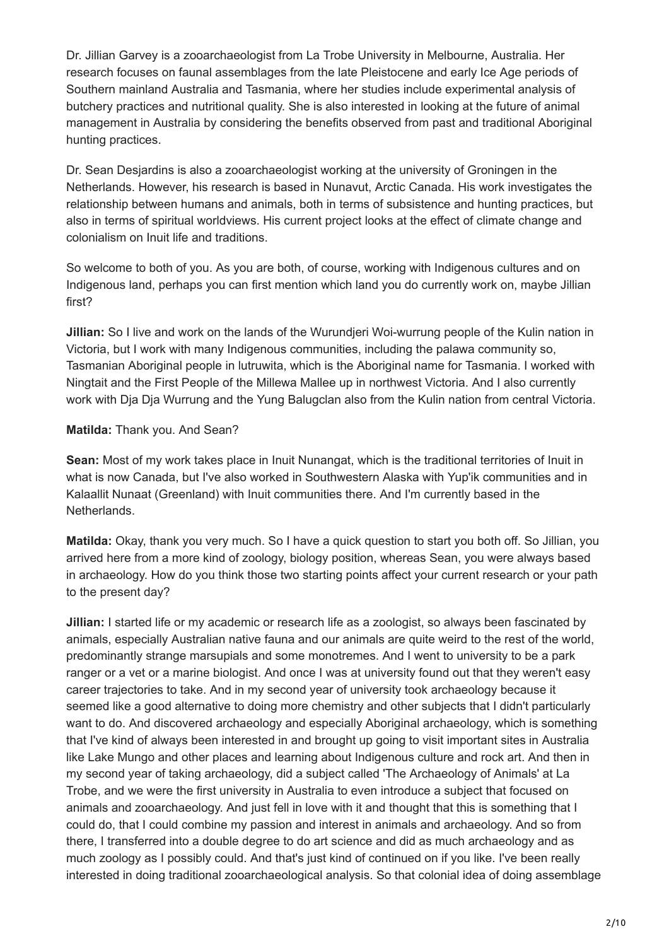Dr. Jillian Garvey is a zooarchaeologist from La Trobe University in Melbourne, Australia. Her research focuses on faunal assemblages from the late Pleistocene and early Ice Age periods of Southern mainland Australia and Tasmania, where her studies include experimental analysis of butchery practices and nutritional quality. She is also interested in looking at the future of animal management in Australia by considering the benefits observed from past and traditional Aboriginal hunting practices.

Dr. Sean Desjardins is also a zooarchaeologist working at the university of Groningen in the Netherlands. However, his research is based in Nunavut, Arctic Canada. His work investigates the relationship between humans and animals, both in terms of subsistence and hunting practices, but also in terms of spiritual worldviews. His current project looks at the effect of climate change and colonialism on Inuit life and traditions.

So welcome to both of you. As you are both, of course, working with Indigenous cultures and on Indigenous land, perhaps you can first mention which land you do currently work on, maybe Jillian first?

**Jillian:** So I live and work on the lands of the Wurundjeri Woi-wurrung people of the Kulin nation in Victoria, but I work with many Indigenous communities, including the palawa community so, Tasmanian Aboriginal people in lutruwita, which is the Aboriginal name for Tasmania. I worked with Ningtait and the First People of the Millewa Mallee up in northwest Victoria. And I also currently work with Dja Dja Wurrung and the Yung Balugclan also from the Kulin nation from central Victoria.

## **Matilda:** Thank you. And Sean?

**Sean:** Most of my work takes place in Inuit Nunangat, which is the traditional territories of Inuit in what is now Canada, but I've also worked in Southwestern Alaska with Yup'ik communities and in Kalaallit Nunaat (Greenland) with Inuit communities there. And I'm currently based in the Netherlands.

**Matilda:** Okay, thank you very much. So I have a quick question to start you both off. So Jillian, you arrived here from a more kind of zoology, biology position, whereas Sean, you were always based in archaeology. How do you think those two starting points affect your current research or your path to the present day?

**Jillian:** I started life or my academic or research life as a zoologist, so always been fascinated by animals, especially Australian native fauna and our animals are quite weird to the rest of the world, predominantly strange marsupials and some monotremes. And I went to university to be a park ranger or a vet or a marine biologist. And once I was at university found out that they weren't easy career trajectories to take. And in my second year of university took archaeology because it seemed like a good alternative to doing more chemistry and other subjects that I didn't particularly want to do. And discovered archaeology and especially Aboriginal archaeology, which is something that I've kind of always been interested in and brought up going to visit important sites in Australia like Lake Mungo and other places and learning about Indigenous culture and rock art. And then in my second year of taking archaeology, did a subject called 'The Archaeology of Animals' at La Trobe, and we were the first university in Australia to even introduce a subject that focused on animals and zooarchaeology. And just fell in love with it and thought that this is something that I could do, that I could combine my passion and interest in animals and archaeology. And so from there, I transferred into a double degree to do art science and did as much archaeology and as much zoology as I possibly could. And that's just kind of continued on if you like. I've been really interested in doing traditional zooarchaeological analysis. So that colonial idea of doing assemblage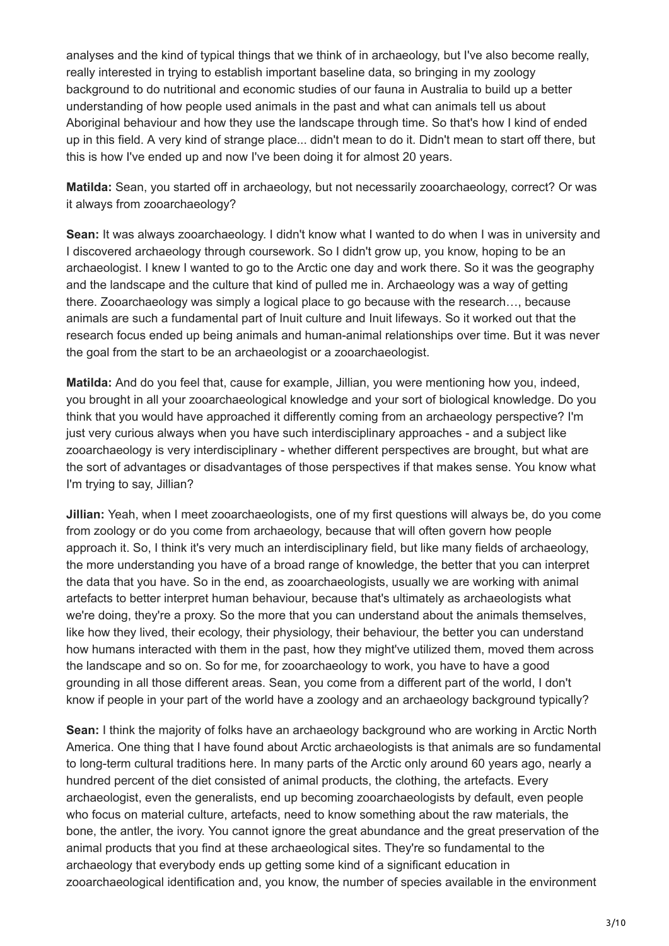analyses and the kind of typical things that we think of in archaeology, but I've also become really, really interested in trying to establish important baseline data, so bringing in my zoology background to do nutritional and economic studies of our fauna in Australia to build up a better understanding of how people used animals in the past and what can animals tell us about Aboriginal behaviour and how they use the landscape through time. So that's how I kind of ended up in this field. A very kind of strange place... didn't mean to do it. Didn't mean to start off there, but this is how I've ended up and now I've been doing it for almost 20 years.

**Matilda:** Sean, you started off in archaeology, but not necessarily zooarchaeology, correct? Or was it always from zooarchaeology?

**Sean:** It was always zooarchaeology. I didn't know what I wanted to do when I was in university and I discovered archaeology through coursework. So I didn't grow up, you know, hoping to be an archaeologist. I knew I wanted to go to the Arctic one day and work there. So it was the geography and the landscape and the culture that kind of pulled me in. Archaeology was a way of getting there. Zooarchaeology was simply a logical place to go because with the research…, because animals are such a fundamental part of Inuit culture and Inuit lifeways. So it worked out that the research focus ended up being animals and human-animal relationships over time. But it was never the goal from the start to be an archaeologist or a zooarchaeologist.

**Matilda:** And do you feel that, cause for example, Jillian, you were mentioning how you, indeed, you brought in all your zooarchaeological knowledge and your sort of biological knowledge. Do you think that you would have approached it differently coming from an archaeology perspective? I'm just very curious always when you have such interdisciplinary approaches - and a subject like zooarchaeology is very interdisciplinary - whether different perspectives are brought, but what are the sort of advantages or disadvantages of those perspectives if that makes sense. You know what I'm trying to say, Jillian?

**Jillian:** Yeah, when I meet zooarchaeologists, one of my first questions will always be, do you come from zoology or do you come from archaeology, because that will often govern how people approach it. So, I think it's very much an interdisciplinary field, but like many fields of archaeology, the more understanding you have of a broad range of knowledge, the better that you can interpret the data that you have. So in the end, as zooarchaeologists, usually we are working with animal artefacts to better interpret human behaviour, because that's ultimately as archaeologists what we're doing, they're a proxy. So the more that you can understand about the animals themselves, like how they lived, their ecology, their physiology, their behaviour, the better you can understand how humans interacted with them in the past, how they might've utilized them, moved them across the landscape and so on. So for me, for zooarchaeology to work, you have to have a good grounding in all those different areas. Sean, you come from a different part of the world, I don't know if people in your part of the world have a zoology and an archaeology background typically?

**Sean:** I think the majority of folks have an archaeology background who are working in Arctic North America. One thing that I have found about Arctic archaeologists is that animals are so fundamental to long-term cultural traditions here. In many parts of the Arctic only around 60 years ago, nearly a hundred percent of the diet consisted of animal products, the clothing, the artefacts. Every archaeologist, even the generalists, end up becoming zooarchaeologists by default, even people who focus on material culture, artefacts, need to know something about the raw materials, the bone, the antler, the ivory. You cannot ignore the great abundance and the great preservation of the animal products that you find at these archaeological sites. They're so fundamental to the archaeology that everybody ends up getting some kind of a significant education in zooarchaeological identification and, you know, the number of species available in the environment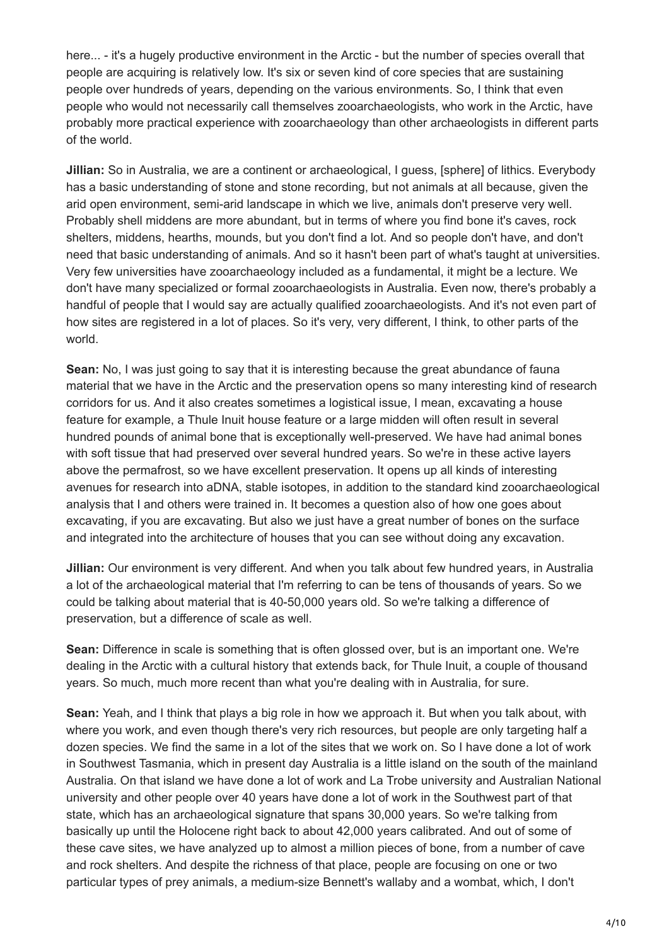here... - it's a hugely productive environment in the Arctic - but the number of species overall that people are acquiring is relatively low. It's six or seven kind of core species that are sustaining people over hundreds of years, depending on the various environments. So, I think that even people who would not necessarily call themselves zooarchaeologists, who work in the Arctic, have probably more practical experience with zooarchaeology than other archaeologists in different parts of the world.

**Jillian:** So in Australia, we are a continent or archaeological, I guess, [sphere] of lithics. Everybody has a basic understanding of stone and stone recording, but not animals at all because, given the arid open environment, semi-arid landscape in which we live, animals don't preserve very well. Probably shell middens are more abundant, but in terms of where you find bone it's caves, rock shelters, middens, hearths, mounds, but you don't find a lot. And so people don't have, and don't need that basic understanding of animals. And so it hasn't been part of what's taught at universities. Very few universities have zooarchaeology included as a fundamental, it might be a lecture. We don't have many specialized or formal zooarchaeologists in Australia. Even now, there's probably a handful of people that I would say are actually qualified zooarchaeologists. And it's not even part of how sites are registered in a lot of places. So it's very, very different, I think, to other parts of the world.

**Sean:** No, I was just going to say that it is interesting because the great abundance of fauna material that we have in the Arctic and the preservation opens so many interesting kind of research corridors for us. And it also creates sometimes a logistical issue, I mean, excavating a house feature for example, a Thule Inuit house feature or a large midden will often result in several hundred pounds of animal bone that is exceptionally well-preserved. We have had animal bones with soft tissue that had preserved over several hundred years. So we're in these active layers above the permafrost, so we have excellent preservation. It opens up all kinds of interesting avenues for research into aDNA, stable isotopes, in addition to the standard kind zooarchaeological analysis that I and others were trained in. It becomes a question also of how one goes about excavating, if you are excavating. But also we just have a great number of bones on the surface and integrated into the architecture of houses that you can see without doing any excavation.

**Jillian:** Our environment is very different. And when you talk about few hundred years, in Australia a lot of the archaeological material that I'm referring to can be tens of thousands of years. So we could be talking about material that is 40-50,000 years old. So we're talking a difference of preservation, but a difference of scale as well.

**Sean:** Difference in scale is something that is often glossed over, but is an important one. We're dealing in the Arctic with a cultural history that extends back, for Thule Inuit, a couple of thousand years. So much, much more recent than what you're dealing with in Australia, for sure.

**Sean:** Yeah, and I think that plays a big role in how we approach it. But when you talk about, with where you work, and even though there's very rich resources, but people are only targeting half a dozen species. We find the same in a lot of the sites that we work on. So I have done a lot of work in Southwest Tasmania, which in present day Australia is a little island on the south of the mainland Australia. On that island we have done a lot of work and La Trobe university and Australian National university and other people over 40 years have done a lot of work in the Southwest part of that state, which has an archaeological signature that spans 30,000 years. So we're talking from basically up until the Holocene right back to about 42,000 years calibrated. And out of some of these cave sites, we have analyzed up to almost a million pieces of bone, from a number of cave and rock shelters. And despite the richness of that place, people are focusing on one or two particular types of prey animals, a medium-size Bennett's wallaby and a wombat, which, I don't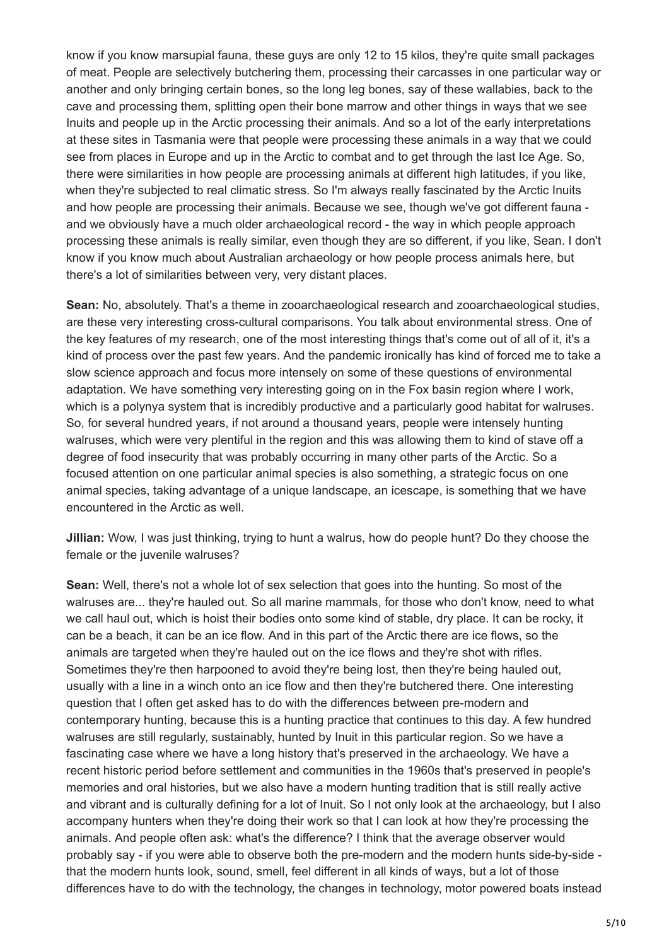know if you know marsupial fauna, these guys are only 12 to 15 kilos, they're quite small packages of meat. People are selectively butchering them, processing their carcasses in one particular way or another and only bringing certain bones, so the long leg bones, say of these wallabies, back to the cave and processing them, splitting open their bone marrow and other things in ways that we see Inuits and people up in the Arctic processing their animals. And so a lot of the early interpretations at these sites in Tasmania were that people were processing these animals in a way that we could see from places in Europe and up in the Arctic to combat and to get through the last Ice Age. So, there were similarities in how people are processing animals at different high latitudes, if you like, when they're subjected to real climatic stress. So I'm always really fascinated by the Arctic Inuits and how people are processing their animals. Because we see, though we've got different fauna and we obviously have a much older archaeological record - the way in which people approach processing these animals is really similar, even though they are so different, if you like, Sean. I don't know if you know much about Australian archaeology or how people process animals here, but there's a lot of similarities between very, very distant places.

**Sean:** No, absolutely. That's a theme in zooarchaeological research and zooarchaeological studies, are these very interesting cross-cultural comparisons. You talk about environmental stress. One of the key features of my research, one of the most interesting things that's come out of all of it, it's a kind of process over the past few years. And the pandemic ironically has kind of forced me to take a slow science approach and focus more intensely on some of these questions of environmental adaptation. We have something very interesting going on in the Fox basin region where I work, which is a polynya system that is incredibly productive and a particularly good habitat for walruses. So, for several hundred years, if not around a thousand years, people were intensely hunting walruses, which were very plentiful in the region and this was allowing them to kind of stave off a degree of food insecurity that was probably occurring in many other parts of the Arctic. So a focused attention on one particular animal species is also something, a strategic focus on one animal species, taking advantage of a unique landscape, an icescape, is something that we have encountered in the Arctic as well.

**Jillian:** Wow, I was just thinking, trying to hunt a walrus, how do people hunt? Do they choose the female or the juvenile walruses?

**Sean:** Well, there's not a whole lot of sex selection that goes into the hunting. So most of the walruses are... they're hauled out. So all marine mammals, for those who don't know, need to what we call haul out, which is hoist their bodies onto some kind of stable, dry place. It can be rocky, it can be a beach, it can be an ice flow. And in this part of the Arctic there are ice flows, so the animals are targeted when they're hauled out on the ice flows and they're shot with rifles. Sometimes they're then harpooned to avoid they're being lost, then they're being hauled out, usually with a line in a winch onto an ice flow and then they're butchered there. One interesting question that I often get asked has to do with the differences between pre-modern and contemporary hunting, because this is a hunting practice that continues to this day. A few hundred walruses are still regularly, sustainably, hunted by Inuit in this particular region. So we have a fascinating case where we have a long history that's preserved in the archaeology. We have a recent historic period before settlement and communities in the 1960s that's preserved in people's memories and oral histories, but we also have a modern hunting tradition that is still really active and vibrant and is culturally defining for a lot of Inuit. So I not only look at the archaeology, but I also accompany hunters when they're doing their work so that I can look at how they're processing the animals. And people often ask: what's the difference? I think that the average observer would probably say - if you were able to observe both the pre-modern and the modern hunts side-by-side that the modern hunts look, sound, smell, feel different in all kinds of ways, but a lot of those differences have to do with the technology, the changes in technology, motor powered boats instead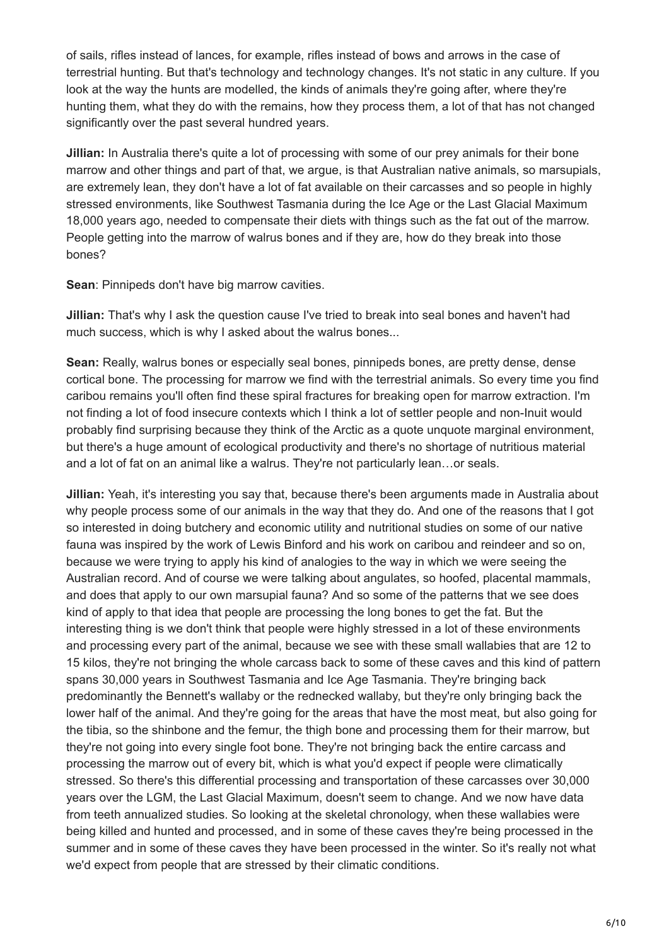of sails, rifles instead of lances, for example, rifles instead of bows and arrows in the case of terrestrial hunting. But that's technology and technology changes. It's not static in any culture. If you look at the way the hunts are modelled, the kinds of animals they're going after, where they're hunting them, what they do with the remains, how they process them, a lot of that has not changed significantly over the past several hundred years.

**Jillian:** In Australia there's quite a lot of processing with some of our prey animals for their bone marrow and other things and part of that, we argue, is that Australian native animals, so marsupials, are extremely lean, they don't have a lot of fat available on their carcasses and so people in highly stressed environments, like Southwest Tasmania during the Ice Age or the Last Glacial Maximum 18,000 years ago, needed to compensate their diets with things such as the fat out of the marrow. People getting into the marrow of walrus bones and if they are, how do they break into those bones?

**Sean**: Pinnipeds don't have big marrow cavities.

**Jillian:** That's why I ask the question cause I've tried to break into seal bones and haven't had much success, which is why I asked about the walrus bones...

**Sean:** Really, walrus bones or especially seal bones, pinnipeds bones, are pretty dense, dense cortical bone. The processing for marrow we find with the terrestrial animals. So every time you find caribou remains you'll often find these spiral fractures for breaking open for marrow extraction. I'm not finding a lot of food insecure contexts which I think a lot of settler people and non-Inuit would probably find surprising because they think of the Arctic as a quote unquote marginal environment, but there's a huge amount of ecological productivity and there's no shortage of nutritious material and a lot of fat on an animal like a walrus. They're not particularly lean…or seals.

**Jillian:** Yeah, it's interesting you say that, because there's been arguments made in Australia about why people process some of our animals in the way that they do. And one of the reasons that I got so interested in doing butchery and economic utility and nutritional studies on some of our native fauna was inspired by the work of Lewis Binford and his work on caribou and reindeer and so on, because we were trying to apply his kind of analogies to the way in which we were seeing the Australian record. And of course we were talking about angulates, so hoofed, placental mammals, and does that apply to our own marsupial fauna? And so some of the patterns that we see does kind of apply to that idea that people are processing the long bones to get the fat. But the interesting thing is we don't think that people were highly stressed in a lot of these environments and processing every part of the animal, because we see with these small wallabies that are 12 to 15 kilos, they're not bringing the whole carcass back to some of these caves and this kind of pattern spans 30,000 years in Southwest Tasmania and Ice Age Tasmania. They're bringing back predominantly the Bennett's wallaby or the rednecked wallaby, but they're only bringing back the lower half of the animal. And they're going for the areas that have the most meat, but also going for the tibia, so the shinbone and the femur, the thigh bone and processing them for their marrow, but they're not going into every single foot bone. They're not bringing back the entire carcass and processing the marrow out of every bit, which is what you'd expect if people were climatically stressed. So there's this differential processing and transportation of these carcasses over 30,000 years over the LGM, the Last Glacial Maximum, doesn't seem to change. And we now have data from teeth annualized studies. So looking at the skeletal chronology, when these wallabies were being killed and hunted and processed, and in some of these caves they're being processed in the summer and in some of these caves they have been processed in the winter. So it's really not what we'd expect from people that are stressed by their climatic conditions.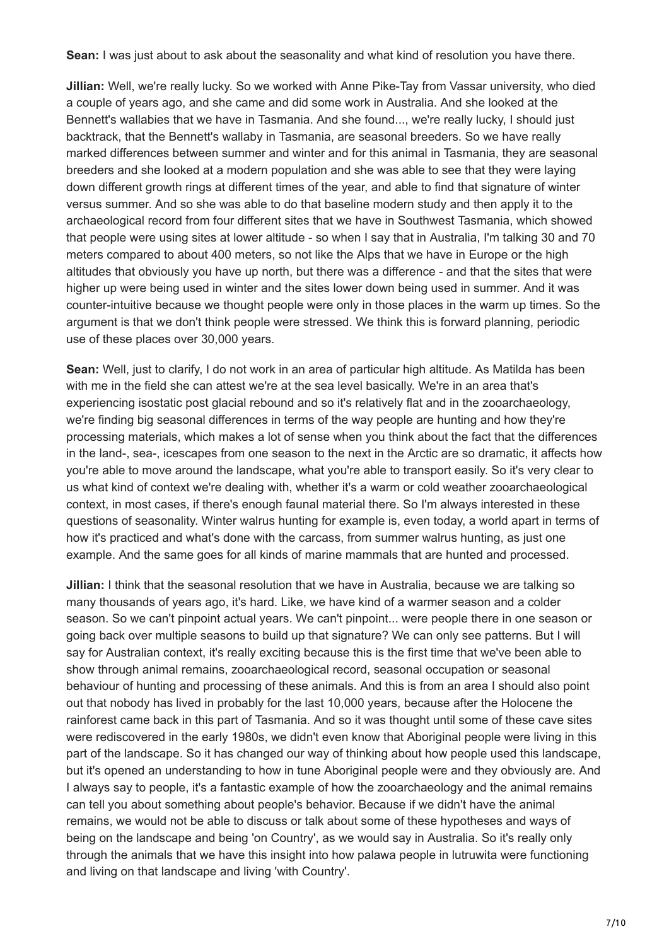**Sean:** I was just about to ask about the seasonality and what kind of resolution you have there.

**Jillian:** Well, we're really lucky. So we worked with Anne Pike-Tay from Vassar university, who died a couple of years ago, and she came and did some work in Australia. And she looked at the Bennett's wallabies that we have in Tasmania. And she found..., we're really lucky, I should just backtrack, that the Bennett's wallaby in Tasmania, are seasonal breeders. So we have really marked differences between summer and winter and for this animal in Tasmania, they are seasonal breeders and she looked at a modern population and she was able to see that they were laying down different growth rings at different times of the year, and able to find that signature of winter versus summer. And so she was able to do that baseline modern study and then apply it to the archaeological record from four different sites that we have in Southwest Tasmania, which showed that people were using sites at lower altitude - so when I say that in Australia, I'm talking 30 and 70 meters compared to about 400 meters, so not like the Alps that we have in Europe or the high altitudes that obviously you have up north, but there was a difference - and that the sites that were higher up were being used in winter and the sites lower down being used in summer. And it was counter-intuitive because we thought people were only in those places in the warm up times. So the argument is that we don't think people were stressed. We think this is forward planning, periodic use of these places over 30,000 years.

**Sean:** Well, just to clarify, I do not work in an area of particular high altitude. As Matilda has been with me in the field she can attest we're at the sea level basically. We're in an area that's experiencing isostatic post glacial rebound and so it's relatively flat and in the zooarchaeology, we're finding big seasonal differences in terms of the way people are hunting and how they're processing materials, which makes a lot of sense when you think about the fact that the differences in the land-, sea-, icescapes from one season to the next in the Arctic are so dramatic, it affects how you're able to move around the landscape, what you're able to transport easily. So it's very clear to us what kind of context we're dealing with, whether it's a warm or cold weather zooarchaeological context, in most cases, if there's enough faunal material there. So I'm always interested in these questions of seasonality. Winter walrus hunting for example is, even today, a world apart in terms of how it's practiced and what's done with the carcass, from summer walrus hunting, as just one example. And the same goes for all kinds of marine mammals that are hunted and processed.

**Jillian:** I think that the seasonal resolution that we have in Australia, because we are talking so many thousands of years ago, it's hard. Like, we have kind of a warmer season and a colder season. So we can't pinpoint actual years. We can't pinpoint... were people there in one season or going back over multiple seasons to build up that signature? We can only see patterns. But I will say for Australian context, it's really exciting because this is the first time that we've been able to show through animal remains, zooarchaeological record, seasonal occupation or seasonal behaviour of hunting and processing of these animals. And this is from an area I should also point out that nobody has lived in probably for the last 10,000 years, because after the Holocene the rainforest came back in this part of Tasmania. And so it was thought until some of these cave sites were rediscovered in the early 1980s, we didn't even know that Aboriginal people were living in this part of the landscape. So it has changed our way of thinking about how people used this landscape, but it's opened an understanding to how in tune Aboriginal people were and they obviously are. And I always say to people, it's a fantastic example of how the zooarchaeology and the animal remains can tell you about something about people's behavior. Because if we didn't have the animal remains, we would not be able to discuss or talk about some of these hypotheses and ways of being on the landscape and being 'on Country', as we would say in Australia. So it's really only through the animals that we have this insight into how palawa people in lutruwita were functioning and living on that landscape and living 'with Country'.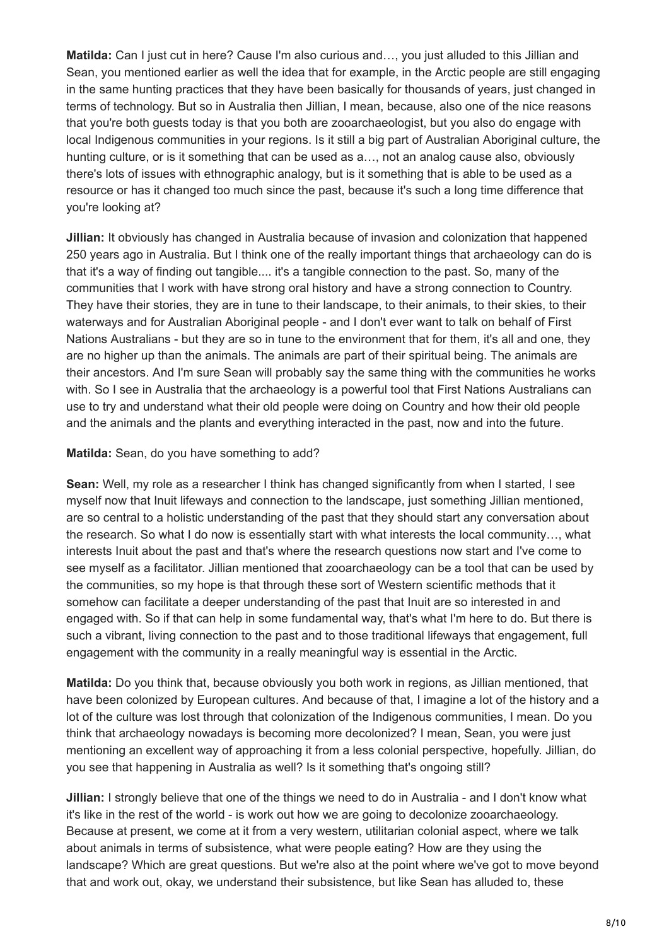**Matilda:** Can I just cut in here? Cause I'm also curious and…, you just alluded to this Jillian and Sean, you mentioned earlier as well the idea that for example, in the Arctic people are still engaging in the same hunting practices that they have been basically for thousands of years, just changed in terms of technology. But so in Australia then Jillian, I mean, because, also one of the nice reasons that you're both guests today is that you both are zooarchaeologist, but you also do engage with local Indigenous communities in your regions. Is it still a big part of Australian Aboriginal culture, the hunting culture, or is it something that can be used as a…, not an analog cause also, obviously there's lots of issues with ethnographic analogy, but is it something that is able to be used as a resource or has it changed too much since the past, because it's such a long time difference that you're looking at?

**Jillian:** It obviously has changed in Australia because of invasion and colonization that happened 250 years ago in Australia. But I think one of the really important things that archaeology can do is that it's a way of finding out tangible.... it's a tangible connection to the past. So, many of the communities that I work with have strong oral history and have a strong connection to Country. They have their stories, they are in tune to their landscape, to their animals, to their skies, to their waterways and for Australian Aboriginal people - and I don't ever want to talk on behalf of First Nations Australians - but they are so in tune to the environment that for them, it's all and one, they are no higher up than the animals. The animals are part of their spiritual being. The animals are their ancestors. And I'm sure Sean will probably say the same thing with the communities he works with. So I see in Australia that the archaeology is a powerful tool that First Nations Australians can use to try and understand what their old people were doing on Country and how their old people and the animals and the plants and everything interacted in the past, now and into the future.

## **Matilda:** Sean, do you have something to add?

**Sean:** Well, my role as a researcher I think has changed significantly from when I started, I see myself now that Inuit lifeways and connection to the landscape, just something Jillian mentioned, are so central to a holistic understanding of the past that they should start any conversation about the research. So what I do now is essentially start with what interests the local community…, what interests Inuit about the past and that's where the research questions now start and I've come to see myself as a facilitator. Jillian mentioned that zooarchaeology can be a tool that can be used by the communities, so my hope is that through these sort of Western scientific methods that it somehow can facilitate a deeper understanding of the past that Inuit are so interested in and engaged with. So if that can help in some fundamental way, that's what I'm here to do. But there is such a vibrant, living connection to the past and to those traditional lifeways that engagement, full engagement with the community in a really meaningful way is essential in the Arctic.

**Matilda:** Do you think that, because obviously you both work in regions, as Jillian mentioned, that have been colonized by European cultures. And because of that, I imagine a lot of the history and a lot of the culture was lost through that colonization of the Indigenous communities, I mean. Do you think that archaeology nowadays is becoming more decolonized? I mean, Sean, you were just mentioning an excellent way of approaching it from a less colonial perspective, hopefully. Jillian, do you see that happening in Australia as well? Is it something that's ongoing still?

**Jillian:** I strongly believe that one of the things we need to do in Australia - and I don't know what it's like in the rest of the world - is work out how we are going to decolonize zooarchaeology. Because at present, we come at it from a very western, utilitarian colonial aspect, where we talk about animals in terms of subsistence, what were people eating? How are they using the landscape? Which are great questions. But we're also at the point where we've got to move beyond that and work out, okay, we understand their subsistence, but like Sean has alluded to, these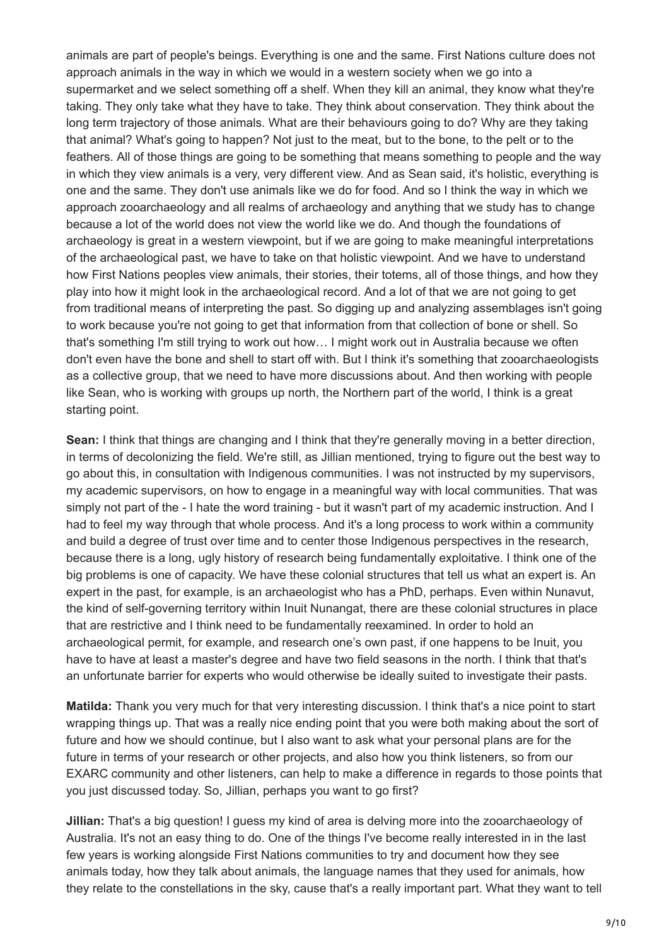animals are part of people's beings. Everything is one and the same. First Nations culture does not approach animals in the way in which we would in a western society when we go into a supermarket and we select something off a shelf. When they kill an animal, they know what they're taking. They only take what they have to take. They think about conservation. They think about the long term trajectory of those animals. What are their behaviours going to do? Why are they taking that animal? What's going to happen? Not just to the meat, but to the bone, to the pelt or to the feathers. All of those things are going to be something that means something to people and the way in which they view animals is a very, very different view. And as Sean said, it's holistic, everything is one and the same. They don't use animals like we do for food. And so I think the way in which we approach zooarchaeology and all realms of archaeology and anything that we study has to change because a lot of the world does not view the world like we do. And though the foundations of archaeology is great in a western viewpoint, but if we are going to make meaningful interpretations of the archaeological past, we have to take on that holistic viewpoint. And we have to understand how First Nations peoples view animals, their stories, their totems, all of those things, and how they play into how it might look in the archaeological record. And a lot of that we are not going to get from traditional means of interpreting the past. So digging up and analyzing assemblages isn't going to work because you're not going to get that information from that collection of bone or shell. So that's something I'm still trying to work out how… I might work out in Australia because we often don't even have the bone and shell to start off with. But I think it's something that zooarchaeologists as a collective group, that we need to have more discussions about. And then working with people like Sean, who is working with groups up north, the Northern part of the world, I think is a great starting point.

**Sean:** I think that things are changing and I think that they're generally moving in a better direction, in terms of decolonizing the field. We're still, as Jillian mentioned, trying to figure out the best way to go about this, in consultation with Indigenous communities. I was not instructed by my supervisors, my academic supervisors, on how to engage in a meaningful way with local communities. That was simply not part of the - I hate the word training - but it wasn't part of my academic instruction. And I had to feel my way through that whole process. And it's a long process to work within a community and build a degree of trust over time and to center those Indigenous perspectives in the research, because there is a long, ugly history of research being fundamentally exploitative. I think one of the big problems is one of capacity. We have these colonial structures that tell us what an expert is. An expert in the past, for example, is an archaeologist who has a PhD, perhaps. Even within Nunavut, the kind of self-governing territory within Inuit Nunangat, there are these colonial structures in place that are restrictive and I think need to be fundamentally reexamined. In order to hold an archaeological permit, for example, and research one's own past, if one happens to be Inuit, you have to have at least a master's degree and have two field seasons in the north. I think that that's an unfortunate barrier for experts who would otherwise be ideally suited to investigate their pasts.

**Matilda:** Thank you very much for that very interesting discussion. I think that's a nice point to start wrapping things up. That was a really nice ending point that you were both making about the sort of future and how we should continue, but I also want to ask what your personal plans are for the future in terms of your research or other projects, and also how you think listeners, so from our EXARC community and other listeners, can help to make a difference in regards to those points that you just discussed today. So, Jillian, perhaps you want to go first?

**Jillian:** That's a big question! I guess my kind of area is delving more into the zooarchaeology of Australia. It's not an easy thing to do. One of the things I've become really interested in in the last few years is working alongside First Nations communities to try and document how they see animals today, how they talk about animals, the language names that they used for animals, how they relate to the constellations in the sky, cause that's a really important part. What they want to tell